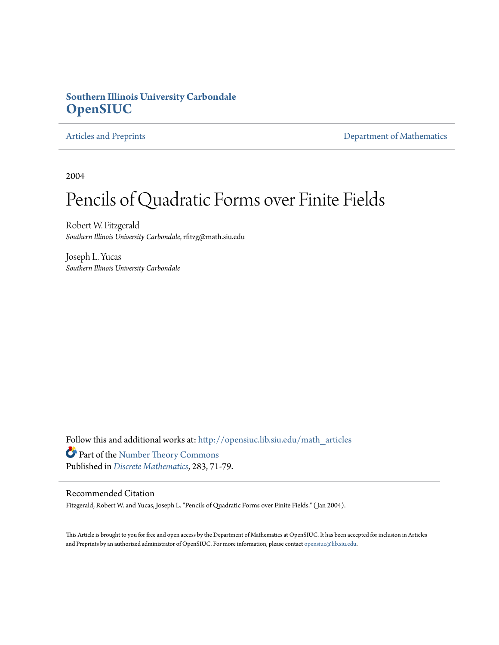#### **Southern Illinois University Carbondale [OpenSIUC](http://opensiuc.lib.siu.edu?utm_source=opensiuc.lib.siu.edu%2Fmath_articles%2F26&utm_medium=PDF&utm_campaign=PDFCoverPages)**

[Articles and Preprints](http://opensiuc.lib.siu.edu/math_articles?utm_source=opensiuc.lib.siu.edu%2Fmath_articles%2F26&utm_medium=PDF&utm_campaign=PDFCoverPages) **[Department of Mathematics](http://opensiuc.lib.siu.edu/math?utm_source=opensiuc.lib.siu.edu%2Fmath_articles%2F26&utm_medium=PDF&utm_campaign=PDFCoverPages)** 

2004

# Pencils of Quadratic Forms over Finite Fields

Robert W. Fitzgerald *Southern Illinois University Carbondale*, rfitzg@math.siu.edu

Joseph L. Yucas *Southern Illinois University Carbondale*

Follow this and additional works at: [http://opensiuc.lib.siu.edu/math\\_articles](http://opensiuc.lib.siu.edu/math_articles?utm_source=opensiuc.lib.siu.edu%2Fmath_articles%2F26&utm_medium=PDF&utm_campaign=PDFCoverPages) Part of the [Number Theory Commons](http://network.bepress.com/hgg/discipline/183?utm_source=opensiuc.lib.siu.edu%2Fmath_articles%2F26&utm_medium=PDF&utm_campaign=PDFCoverPages) Published in *[Discrete Mathematics](http://www.elsevier.com/wps/find/journaldescription.cws_home/505610/description#description)*, 283, 71-79.

#### Recommended Citation

Fitzgerald, Robert W. and Yucas, Joseph L. "Pencils of Quadratic Forms over Finite Fields." ( Jan 2004).

This Article is brought to you for free and open access by the Department of Mathematics at OpenSIUC. It has been accepted for inclusion in Articles and Preprints by an authorized administrator of OpenSIUC. For more information, please contact [opensiuc@lib.siu.edu](mailto:opensiuc@lib.siu.edu).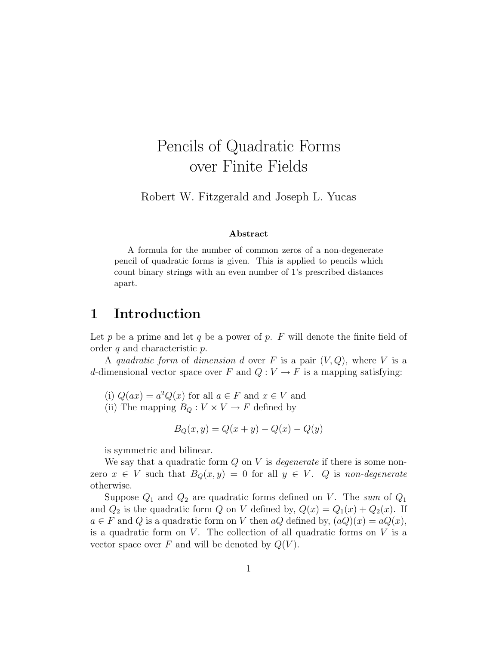# Pencils of Quadratic Forms over Finite Fields

Robert W. Fitzgerald and Joseph L. Yucas

#### Abstract

A formula for the number of common zeros of a non-degenerate pencil of quadratic forms is given. This is applied to pencils which count binary strings with an even number of 1's prescribed distances apart.

## 1 Introduction

Let p be a prime and let q be a power of p. F will denote the finite field of order  $q$  and characteristic  $p$ .

A quadratic form of dimension d over F is a pair  $(V, Q)$ , where V is a d-dimensional vector space over F and  $Q: V \to F$  is a mapping satisfying:

- (i)  $Q(ax) = a^2Q(x)$  for all  $a \in F$  and  $x \in V$  and
- (ii) The mapping  $B_Q: V \times V \to F$  defined by

$$
B_Q(x, y) = Q(x + y) - Q(x) - Q(y)
$$

is symmetric and bilinear.

We say that a quadratic form  $Q$  on V is *degenerate* if there is some nonzero  $x \in V$  such that  $B_Q(x, y) = 0$  for all  $y \in V$ . Q is non-degenerate otherwise.

Suppose  $Q_1$  and  $Q_2$  are quadratic forms defined on V. The sum of  $Q_1$ and  $Q_2$  is the quadratic form Q on V defined by,  $Q(x) = Q_1(x) + Q_2(x)$ . If  $a \in F$  and Q is a quadratic form on V then aQ defined by,  $(aQ)(x) = aQ(x)$ , is a quadratic form on  $V$ . The collection of all quadratic forms on  $V$  is a vector space over F and will be denoted by  $Q(V)$ .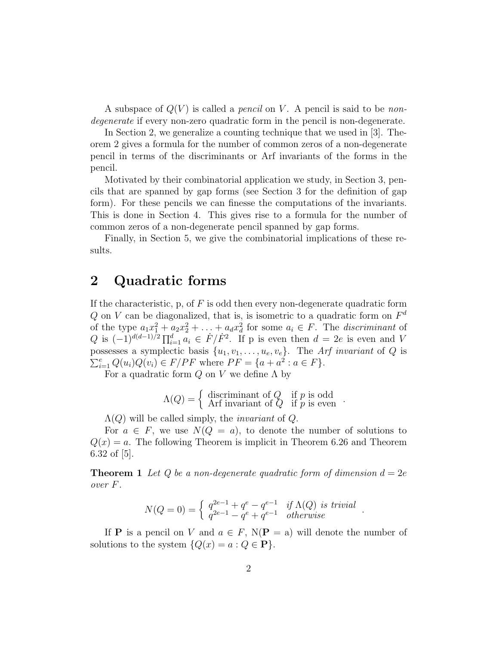A subspace of  $Q(V)$  is called a *pencil* on V. A pencil is said to be *non*degenerate if every non-zero quadratic form in the pencil is non-degenerate.

In Section 2, we generalize a counting technique that we used in [3]. Theorem 2 gives a formula for the number of common zeros of a non-degenerate pencil in terms of the discriminants or Arf invariants of the forms in the pencil.

Motivated by their combinatorial application we study, in Section 3, pencils that are spanned by gap forms (see Section 3 for the definition of gap form). For these pencils we can finesse the computations of the invariants. This is done in Section 4. This gives rise to a formula for the number of common zeros of a non-degenerate pencil spanned by gap forms.

Finally, in Section 5, we give the combinatorial implications of these results.

## 2 Quadratic forms

If the characteristic, p, of  $F$  is odd then every non-degenerate quadratic form Q on V can be diagonalized, that is, is isometric to a quadratic form on  $F<sup>d</sup>$ of the type  $a_1x_1^2 + a_2x_2^2 + \ldots + a_dx_d^2$  for some  $a_i \in F$ . The discriminant of Q is  $(-1)^{d(d-1)/2} \prod_{i=1}^d a_i \in \dot{F}/\dot{F}^2$ . If p is even then  $d = 2e$  is even and V possesses a symplectic basis  $\{u_1, v_1, \ldots, u_e, v_e\}$ . The Arf invariant of Q is possesses a symplectic basis  $\{a_1, b_1, \ldots, a_e, e_e\}$ . The  $H$ <br> $\sum_{i=1}^{e} Q(u_i) Q(v_i) \in F/PF$  where  $PF = \{a + a^2 : a \in F\}$ .

For a quadratic form  $Q$  on  $V$  we define  $\Lambda$  by

$$
\Lambda(Q) = \begin{cases} \text{ discriminant of } Q & \text{if } p \text{ is odd} \\ \text{Arf invariant of } Q & \text{if } p \text{ is even} \end{cases}.
$$

 $\Lambda(Q)$  will be called simply, the *invariant* of Q.

For  $a \in F$ , we use  $N(Q = a)$ , to denote the number of solutions to  $Q(x) = a$ . The following Theorem is implicit in Theorem 6.26 and Theorem 6.32 of [5].

**Theorem 1** Let Q be a non-degenerate quadratic form of dimension  $d = 2e$ over F.

$$
N(Q = 0) = \begin{cases} q^{2e-1} + q^e - q^{e-1} & \text{if } \Lambda(Q) \text{ is trivial} \\ q^{2e-1} - q^e + q^{e-1} & \text{otherwise} \end{cases}.
$$

If **P** is a pencil on V and  $a \in F$ ,  $N(P = a)$  will denote the number of solutions to the system  $\{Q(x) = a : Q \in \mathbf{P}\}.$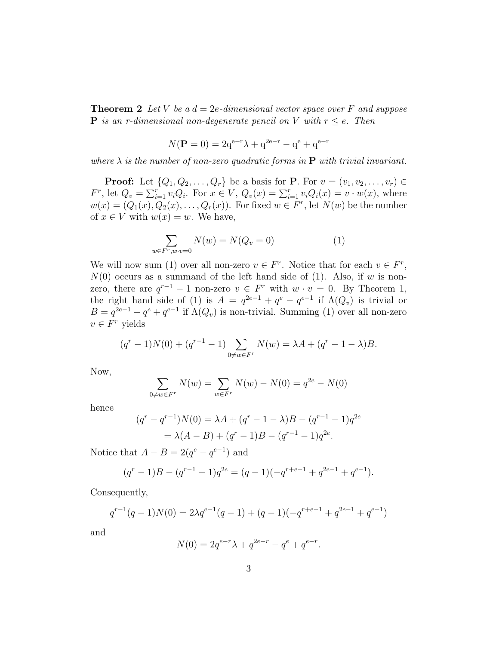**Theorem 2** Let V be a  $d = 2e$ -dimensional vector space over F and suppose **P** is an r-dimensional non-degenerate pencil on V with  $r \leq e$ . Then

$$
N(\mathbf{P} = 0) = 2q^{e-r}\lambda + q^{2e-r} - q^{e} + q^{e-r}
$$

where  $\lambda$  is the number of non-zero quadratic forms in **P** with trivial invariant.

**Proof:** Let  $\{Q_1, Q_2, \ldots, Q_r\}$  be a basis for **P**. For  $v = (v_1, v_2, \ldots, v_r) \in$ F<sup>r</sup>, let  $Q_v = \sum_{i=1}^r v_i Q_i$ . For  $x \in V$ ,  $Q_v(x) = \sum_{i=1}^r v_i Q_i(x) = v \cdot w(x)$ , where  $w(x) = (Q_1(x), Q_2(x), \ldots, Q_r(x))$ . For fixed  $w \in F^r$ , let  $N(w)$  be the number of  $x \in V$  with  $w(x) = w$ . We have,

$$
\sum_{w \in F^r, w \cdot v = 0} N(w) = N(Q_v = 0)
$$
\n(1)

We will now sum (1) over all non-zero  $v \in F^r$ . Notice that for each  $v \in F^r$ ,  $N(0)$  occurs as a summand of the left hand side of (1). Also, if w is nonzero, there are  $q^{r-1} - 1$  non-zero  $v \in F^r$  with  $w \cdot v = 0$ . By Theorem 1, the right hand side of (1) is  $A = q^{2e-1} + q^e - q^{e-1}$  if  $\Lambda(Q_v)$  is trivial or  $B = q^{2e-1} - q^e + q^{e-1}$  if  $\Lambda(Q_v)$  is non-trivial. Summing (1) over all non-zero  $v \in F^r$  yields

$$
(qr - 1)N(0) + (qr-1 - 1)\sum_{0 \neq w \in Fr} N(w) = \lambda A + (qr - 1 - \lambda)B.
$$

Now,

$$
\sum_{0 \neq w \in F^r} N(w) = \sum_{w \in F^r} N(w) - N(0) = q^{2e} - N(0)
$$

hence

$$
(qr - qr-1)N(0) = \lambda A + (qr - 1 - \lambda)B - (qr-1 - 1)q2e
$$
  
= \lambda(A - B) + (q<sup>r</sup> - 1)B - (q<sup>r-1</sup> - 1)q<sup>2e</sup>.

Notice that  $A - B = 2(q^e - q^{e-1})$  and

$$
(qr - 1)B - (qr-1 - 1)q2e = (q - 1)(-qr+e-1 + q2e-1 + qe-1).
$$

Consequently,

$$
q^{r-1}(q-1)N(0) = 2\lambda q^{e-1}(q-1) + (q-1)(-q^{r+e-1} + q^{2e-1} + q^{e-1})
$$

and

$$
N(0) = 2q^{e-r}\lambda + q^{2e-r} - q^e + q^{e-r}.
$$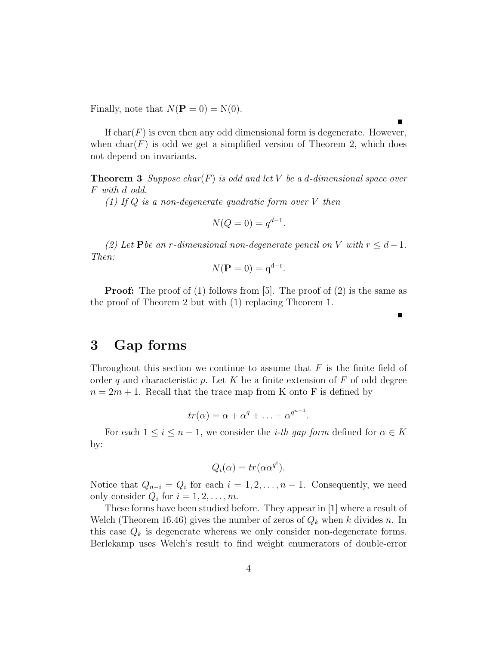Finally, note that  $N(\mathbf{P} = 0) = N(0)$ .

If  $char(F)$  is even then any odd dimensional form is degenerate. However, when  $char(F)$  is odd we get a simplified version of Theorem 2, which does not depend on invariants.

**Theorem 3** Suppose char(F) is odd and let V be a d-dimensional space over F with d odd.

(1) If  $Q$  is a non-degenerate quadratic form over  $V$  then

$$
N(Q=0) = q^{d-1}.
$$

(2) Let P be an r-dimensional non-degenerate pencil on V with  $r \leq d-1$ . Then:

$$
N(\mathbf{P} = 0) = \mathbf{q}^{\mathbf{d} - \mathbf{r}}.
$$

**Proof:** The proof of (1) follows from [5]. The proof of (2) is the same as the proof of Theorem 2 but with (1) replacing Theorem 1.

#### 3 Gap forms

Throughout this section we continue to assume that  $F$  is the finite field of order q and characteristic p. Let K be a finite extension of  $F$  of odd degree  $n = 2m + 1$ . Recall that the trace map from K onto F is defined by

$$
tr(\alpha) = \alpha + \alpha^q + \ldots + \alpha^{q^{n-1}}.
$$

For each  $1 \leq i \leq n-1$ , we consider the *i-th gap form* defined for  $\alpha \in K$ by:

$$
Q_i(\alpha) = tr(\alpha \alpha^{q^i}).
$$

Notice that  $Q_{n-i} = Q_i$  for each  $i = 1, 2, ..., n-1$ . Consequently, we need only consider  $Q_i$  for  $i = 1, 2, \ldots, m$ .

These forms have been studied before. They appear in [1] where a result of Welch (Theorem 16.46) gives the number of zeros of  $Q_k$  when k divides n. In this case  $Q_k$  is degenerate whereas we only consider non-degenerate forms. Berlekamp uses Welch's result to find weight enumerators of double-error

п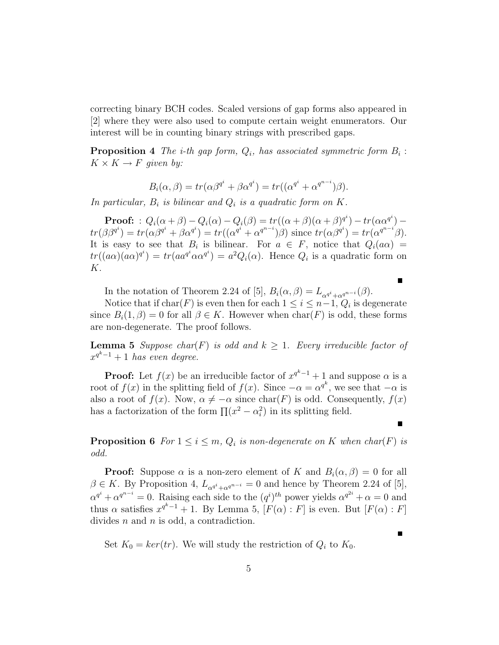correcting binary BCH codes. Scaled versions of gap forms also appeared in [2] where they were also used to compute certain weight enumerators. Our interest will be in counting binary strings with prescribed gaps.

**Proposition 4** The *i*-th gap form,  $Q_i$ , has associated symmetric form  $B_i$ :  $K \times K \rightarrow F$  given by:

$$
B_i(\alpha, \beta) = tr(\alpha \beta^{q^i} + \beta \alpha^{q^i}) = tr((\alpha^{q^i} + \alpha^{q^{n-i}})\beta).
$$

In particular,  $B_i$  is bilinear and  $Q_i$  is a quadratic form on K.

 $\textbf{Proof:} \ : \ Q_i(\alpha+\beta) - Q_i(\alpha) - Q_i(\beta) = tr((\alpha+\beta)(\alpha+\beta)^{q^i}) - tr(\alpha\alpha^{q^i})$  $tr(\beta \beta^{q^i}) = tr(\alpha \beta^{q^i} + \beta \alpha^{q^i}) = tr((\alpha^{q^i} + \alpha^{q^{n-i}}) \beta) \text{ since } tr(\alpha \beta^{q^i}) = tr(\alpha^{q^{n-i}} \beta).$ It is easy to see that  $B_i$  is bilinear. For  $a \in F$ , notice that  $Q_i(a\alpha) =$  $tr((a\alpha)(a\alpha)^{q^i}) = tr(a a^{q^i} \alpha \alpha^{q^i}) = a^2 Q_i(\alpha)$ . Hence  $Q_i$  is a quadratic form on K.

In the notation of Theorem 2.24 of [5],  $B_i(\alpha, \beta) = L_{\alpha^{q_i} + \alpha^{q^{n-i}}}(\beta)$ .

Notice that if  $char(F)$  is even then for each  $1 \leq i \leq n-1$ ,  $Q_i$  is degenerate since  $B_i(1,\beta) = 0$  for all  $\beta \in K$ . However when  $char(F)$  is odd, these forms are non-degenerate. The proof follows.

г

 $\blacksquare$ 

**Lemma 5** Suppose char(F) is odd and  $k \geq 1$ . Every irreducible factor of  $x^{q^k-1}+1$  has even degree.

**Proof:** Let  $f(x)$  be an irreducible factor of  $x^{q^k-1} + 1$  and suppose  $\alpha$  is a root of  $f(x)$  in the splitting field of  $f(x)$ . Since  $-\alpha = \alpha^{q^k}$ , we see that  $-\alpha$  is also a root of  $f(x)$ . Now,  $\alpha \neq -\alpha$  since char(F) is odd. Consequently,  $f(x)$ has a factorization of the form  $\prod (x^2 - \alpha_i^2)$  in its splitting field.

**Proposition 6** For  $1 \leq i \leq m$ ,  $Q_i$  is non-degenerate on K when char(F) is odd.

**Proof:** Suppose  $\alpha$  is a non-zero element of K and  $B_i(\alpha, \beta) = 0$  for all  $\beta \in K$ . By Proposition 4,  $L_{\alpha^{q^i}+\alpha^{q^{n-i}}} = 0$  and hence by Theorem 2.24 of [5],  $\alpha^{q^i} + \alpha^{q^{n-i}} = 0$ . Raising each side to the  $(q^i)^{th}$  power yields  $\alpha^{q^{2i}} + \alpha = 0$  and thus  $\alpha$  satisfies  $x^{q^k-1} + 1$ . By Lemma 5,  $[F(\alpha):F]$  is even. But  $[F(\alpha):F]$ divides  $n$  and  $n$  is odd, a contradiction.

Set  $K_0 = \ker(tr)$ . We will study the restriction of  $Q_i$  to  $K_0$ .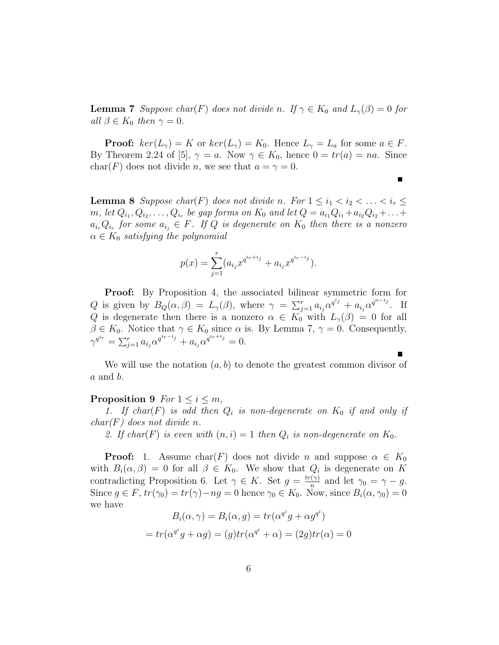**Lemma 7** Suppose char(F) does not divide n. If  $\gamma \in K_0$  and  $L_{\gamma}(\beta) = 0$  for all  $\beta \in K_0$  then  $\gamma = 0$ .

**Proof:**  $ker(L_\gamma) = K$  or  $ker(L_\gamma) = K_0$ . Hence  $L_\gamma = L_a$  for some  $a \in F$ . By Theorem 2.24 of [5],  $\gamma = a$ . Now  $\gamma \in K_0$ , hence  $0 = tr(a) = na$ . Since char(F) does not divide n, we see that  $a = \gamma = 0$ .

 $\blacksquare$ 

**Lemma 8** Suppose char(F) does not divide n. For  $1 \leq i_1 < i_2 < \ldots < i_r \leq$  $m, \, let \, Q_{i_1}, Q_{i_2}, \ldots, Q_{i_r} \, be \, gap \, forms \, on \, K_0 \, and \, let \, Q = a_{i_1}Q_{i_1} + a_{i_2}Q_{i_2} + \ldots +$  $a_{i_r}Q_{i_r}$  for some  $a_{i_j} \in F$ . If Q is degenerate on  $K_0$  then there is a nonzero  $\alpha \in K_0$  satisfying the polynomial

$$
p(x) = \sum_{j=1}^{r} (a_{i_j} x^{q^{ir+i_j}} + a_{i_j} x^{q^{ir-i_j}}).
$$

**Proof:** By Proposition 4, the associated bilinear symmetric form for Q is given by  $B_Q(\alpha, \beta) = L_{\gamma}(\beta)$ , where  $\gamma = \sum_{j=1}^r a_{i_j} \alpha^{q^{i_j}} + a_{i_j} \alpha^{q^{n-i_j}}$ . If Q is degenerate then there is a nonzero  $\alpha \in K_0$  with  $L_{\gamma}(\beta) = 0$  for all  $\beta \in K_0$ . Notice that  $\gamma \in K_0$  since  $\alpha$  is. By Lemma 7,  $\gamma = 0$ . Consequently,  $\gamma^{q^{i_r}} = \sum_{j=1}^r a_{ij} \alpha^{q^{i_r-i_j}} + a_{ij} \alpha^{q^{i_r+i_j}} = 0.$ 

We will use the notation  $(a, b)$  to denote the greatest common divisor of  $a$  and  $b$ .

#### **Proposition 9** For  $1 \leq i \leq m$ ,

1. If char(F) is odd then  $Q_i$  is non-degenerate on  $K_0$  if and only if  $char(F)$  does not divide n.

2. If char(F) is even with  $(n, i) = 1$  then  $Q_i$  is non-degenerate on  $K_0$ .

**Proof:** 1. Assume char(F) does not divide n and suppose  $\alpha \in K_0$ with  $B_i(\alpha, \beta) = 0$  for all  $\beta \in K_0$ . We show that  $Q_i$  is degenerate on K contradicting Proposition 6. Let  $\gamma \in K$ . Set  $g = \frac{tr(\gamma)}{n}$  $\frac{\gamma(\gamma)}{n}$  and let  $\gamma_0 = \gamma - g$ . Since  $g \in F$ ,  $tr(\gamma_0) = tr(\gamma) - ng = 0$  hence  $\gamma_0 \in K_0$ . Now, since  $B_i(\alpha, \gamma_0) = 0$ we have

$$
B_i(\alpha, \gamma) = B_i(\alpha, g) = tr(\alpha^{q^i} g + \alpha g^{q^i})
$$

$$
= tr(\alpha^{q^i} g + \alpha g) = (g)tr(\alpha^{q^i} + \alpha) = (2g)tr(\alpha) = 0
$$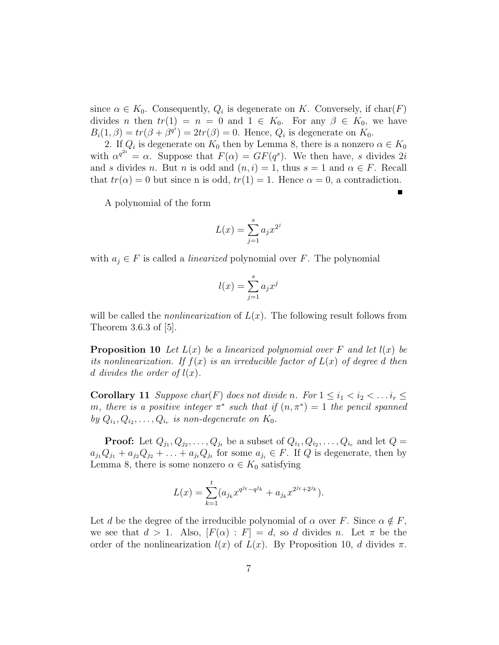since  $\alpha \in K_0$ . Consequently,  $Q_i$  is degenerate on K. Conversely, if  $char(F)$ divides n then  $tr(1) = n = 0$  and  $1 \in K_0$ . For any  $\beta \in K_0$ , we have  $B_i(1, \beta) = tr(\beta + \beta^{q_i}) = 2tr(\beta) = 0$ . Hence,  $Q_i$  is degenerate on  $K_0$ .

2. If  $Q_i$  is degenerate on  $K_0$  then by Lemma 8, there is a nonzero  $\alpha \in K_0$ with  $\alpha^{q^{2i}} = \alpha$ . Suppose that  $F(\alpha) = GF(q^s)$ . We then have, s divides 2i and s divides n. But n is odd and  $(n, i) = 1$ , thus  $s = 1$  and  $\alpha \in F$ . Recall that  $tr(\alpha) = 0$  but since n is odd,  $tr(1) = 1$ . Hence  $\alpha = 0$ , a contradiction.

A polynomial of the form

$$
L(x) = \sum_{j=1}^{s} a_j x^{2^j}
$$

with  $a_j \in F$  is called a *linearized* polynomial over F. The polynomial

$$
l(x) = \sum_{j=1}^{s} a_j x^j
$$

will be called the *nonlinearization* of  $L(x)$ . The following result follows from Theorem 3.6.3 of [5].

**Proposition 10** Let  $L(x)$  be a linearized polynomial over F and let  $l(x)$  be its nonlinearization. If  $f(x)$  is an irreducible factor of  $L(x)$  of degree d then d divides the order of  $l(x)$ .

**Corollary 11** Suppose char(F) does not divide n. For  $1 \leq i_1 < i_2 < \ldots i_r \leq$ m, there is a positive integer  $\pi^*$  such that if  $(n, \pi^*) = 1$  the pencil spanned by  $Q_{i_1}, Q_{i_2}, \ldots, Q_{i_r}$  is non-degenerate on  $K_0$ .

**Proof:** Let  $Q_{j_1}, Q_{j_2}, \ldots, Q_{j_t}$  be a subset of  $Q_{i_1}, Q_{i_2}, \ldots, Q_{i_r}$  and let  $Q =$  $a_{j_1}Q_{j_1} + a_{j_2}Q_{j_2} + \ldots + a_{j_t}Q_{j_t}$  for some  $a_{j_i} \in F$ . If Q is degenerate, then by Lemma 8, there is some nonzero  $\alpha \in K_0$  satisfying

$$
L(x) = \sum_{k=1}^{t} (a_{j_k} x^{q^{j_t} - q^{j_k}} + a_{j_k} x^{2^{j_t} + 2^{j_k}}).
$$

Let d be the degree of the irreducible polynomial of  $\alpha$  over F. Since  $\alpha \notin F$ , we see that  $d > 1$ . Also,  $[F(\alpha) : F] = d$ , so d divides n. Let  $\pi$  be the order of the nonlinearization  $l(x)$  of  $L(x)$ . By Proposition 10, d divides  $\pi$ .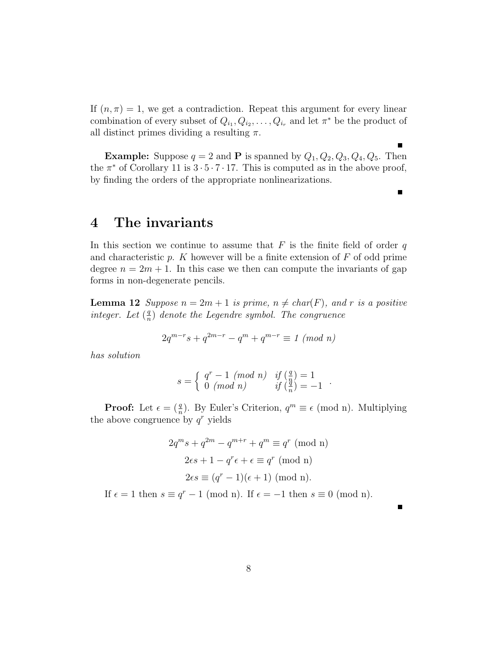If  $(n, \pi) = 1$ , we get a contradiction. Repeat this argument for every linear combination of every subset of  $Q_{i_1}, Q_{i_2}, \ldots, Q_{i_r}$  and let  $\pi^*$  be the product of all distinct primes dividing a resulting  $\pi$ .

**Example:** Suppose  $q = 2$  and **P** is spanned by  $Q_1, Q_2, Q_3, Q_4, Q_5$ . Then the  $\pi^*$  of Corollary 11 is  $3 \cdot 5 \cdot 7 \cdot 17$ . This is computed as in the above proof, by finding the orders of the appropriate nonlinearizations.

п

 $\blacksquare$ 

#### 4 The invariants

In this section we continue to assume that  $F$  is the finite field of order  $q$ and characteristic  $p$ . K however will be a finite extension of  $F$  of odd prime degree  $n = 2m + 1$ . In this case we then can compute the invariants of gap forms in non-degenerate pencils.

**Lemma 12** Suppose  $n = 2m + 1$  is prime,  $n \neq char(F)$ , and r is a positive integer. Let  $\left(\frac{q}{q}\right)$  $\frac{q}{n}$ ) denote the Legendre symbol. The congruence

$$
2q^{m-r}s+q^{2m-r}-q^m+q^{m-r}\equiv 1\ (mod\ n)
$$

has solution

$$
s = \begin{cases} q^r - 1 \pmod{n} & \text{if } \left(\frac{q}{n}\right) = 1 \\ 0 \pmod{n} & \text{if } \left(\frac{q}{n}\right) = -1 \end{cases}.
$$

**Proof:** Let  $\epsilon = \left(\frac{q}{n}\right)$ . By Euler's Criterion,  $q^m \equiv \epsilon \pmod{n}$ . Multiplying the above congruence by  $q^r$  yields

$$
2q^{m}s + q^{2m} - q^{m+r} + q^{m} \equiv q^{r} \pmod{n}
$$

$$
2\epsilon s + 1 - q^{r}\epsilon + \epsilon \equiv q^{r} \pmod{n}
$$

$$
2\epsilon s \equiv (q^{r} - 1)(\epsilon + 1) \pmod{n}.
$$

If  $\epsilon = 1$  then  $s \equiv q^r - 1 \pmod{n}$ . If  $\epsilon = -1$  then  $s \equiv 0 \pmod{n}$ .

г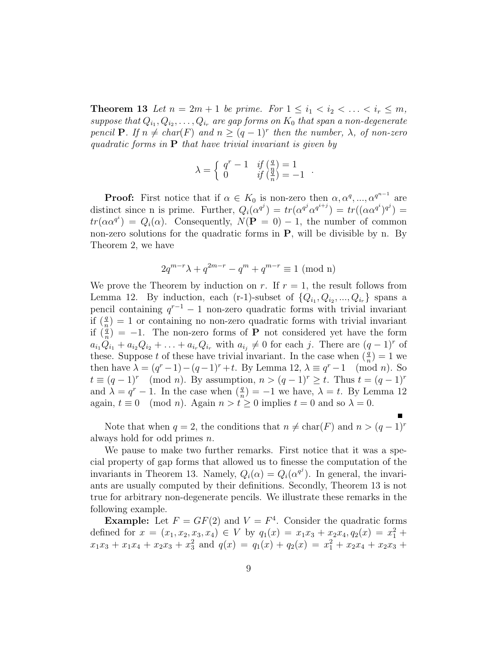**Theorem 13** Let  $n = 2m + 1$  be prime. For  $1 \le i_1 < i_2 < ... < i_r \le m$ , suppose that  $Q_{i_1}, Q_{i_2}, \ldots, Q_{i_r}$  are gap forms on  $K_0$  that span a non-degenerate pencil **P**. If  $n \neq char(F)$  and  $n \geq (q-1)^r$  then the number,  $\lambda$ , of non-zero quadratic forms in  $P$  that have trivial invariant is given by

$$
\lambda = \begin{cases} q^r - 1 & \text{if } \left( \frac{q}{n} \right) = 1 \\ 0 & \text{if } \left( \frac{q}{n} \right) = -1 \end{cases}
$$

.

**Proof:** First notice that if  $\alpha \in K_0$  is non-zero then  $\alpha, \alpha^q, ..., \alpha^{q^{n-1}}$  are distinct since n is prime. Further,  $Q_i(\alpha^{q^j}) = tr(\alpha^{q^j} \alpha^{q^{i+j}}) = tr((\alpha \alpha^{q^i})^{q^j}) =$  $tr(\alpha \alpha^{q^i}) = Q_i(\alpha)$ . Consequently,  $N(\mathbf{P} = 0) - 1$ , the number of common non-zero solutions for the quadratic forms in  $P$ , will be divisible by n. By Theorem 2, we have

$$
2q^{m-r}\lambda + q^{2m-r} - q^m + q^{m-r} \equiv 1 \pmod{n}
$$

We prove the Theorem by induction on r. If  $r = 1$ , the result follows from Lemma 12. By induction, each (r-1)-subset of  $\{Q_{i_1}, Q_{i_2}, ..., Q_{i_r}\}$  spans a pencil containing  $q^{r-1} - 1$  non-zero quadratic forms with trivial invariant if  $\left(\frac{q}{n}\right) = 1$  or containing no non-zero quadratic forms with trivial invariant if  $\left(\frac{q}{n}\right) = -1$ . The non-zero forms of **P** not considered yet have the form  $a_{i_1}\ddot{Q}_{i_1}+a_{i_2}Q_{i_2}+\ldots+a_{i_r}Q_{i_r}$  with  $a_{i_j}\neq 0$  for each j. There are  $(q-1)^r$  of these. Suppose t of these have trivial invariant. In the case when  $(\frac{q}{n}) = 1$  we then have  $\lambda = (q^r - 1) - (q - 1)^r + t$ . By Lemma 12,  $\lambda \equiv q^r - 1 \pmod{n}$ . So  $t \equiv (q-1)^r \pmod{n}$ . By assumption,  $n > (q-1)^r \geq t$ . Thus  $t = (q-1)^r$ and  $\lambda = q^r - 1$ . In the case when  $\left(\frac{q}{n}\right) = -1$  we have,  $\lambda = t$ . By Lemma 12 again,  $t \equiv 0 \pmod{n}$ . Again  $n > t \ge 0$  implies  $t = 0$  and so  $\lambda = 0$ .

Note that when  $q = 2$ , the conditions that  $n \neq \text{char}(F)$  and  $n > (q - 1)^r$ always hold for odd primes n.

We pause to make two further remarks. First notice that it was a special property of gap forms that allowed us to finesse the computation of the invariants in Theorem 13. Namely,  $Q_i(\alpha) = Q_i(\alpha^{q^j})$ . In general, the invariants are usually computed by their definitions. Secondly, Theorem 13 is not true for arbitrary non-degenerate pencils. We illustrate these remarks in the following example.

**Example:** Let  $F = GF(2)$  and  $V = F<sup>4</sup>$ . Consider the quadratic forms defined for  $x = (x_1, x_2, x_3, x_4) \in V$  by  $q_1(x) = x_1x_3 + x_2x_4, q_2(x) = x_1^2 + ...$  $x_1x_3 + x_1x_4 + x_2x_3 + x_3^2$  and  $q(x) = q_1(x) + q_2(x) = x_1^2 + x_2x_4 + x_2x_3 + x_4^2$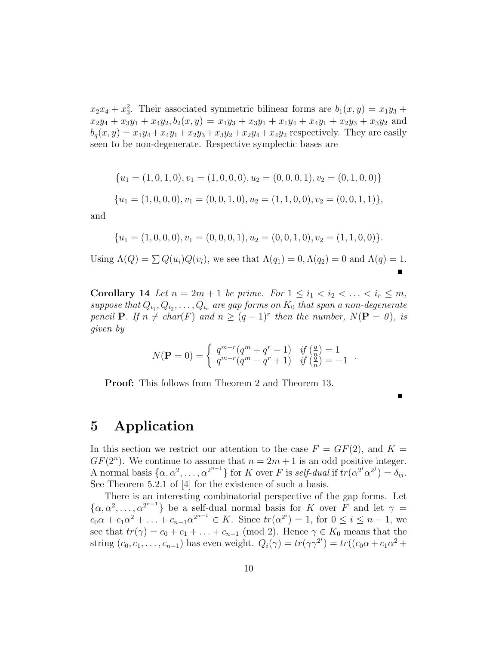$x_2x_4 + x_3^2$ . Their associated symmetric bilinear forms are  $b_1(x, y) = x_1y_3 + y_2y_4$  $x_2y_4 + x_3y_1 + x_4y_2$ ,  $b_2(x, y) = x_1y_3 + x_3y_1 + x_1y_4 + x_4y_1 + x_2y_3 + x_3y_2$  and  $b_q(x, y) = x_1y_4 + x_4y_1 + x_2y_3 + x_3y_2 + x_2y_4 + x_4y_2$  respectively. They are easily seen to be non-degenerate. Respective symplectic bases are

$$
\{u_1 = (1, 0, 1, 0), v_1 = (1, 0, 0, 0), u_2 = (0, 0, 0, 1), v_2 = (0, 1, 0, 0)\}
$$
  

$$
\{u_1 = (1, 0, 0, 0), v_1 = (0, 0, 1, 0), u_2 = (1, 1, 0, 0), v_2 = (0, 0, 1, 1)\},
$$

and

$$
{u1 = (1,0,0,0), v1 = (0,0,0,1), u2 = (0,0,1,0), v2 = (1,1,0,0)}.
$$

Using  $\Lambda(Q) = \sum Q(u_i)Q(v_i)$ , we see that  $\Lambda(q_1) = 0, \Lambda(q_2) = 0$  and  $\Lambda(q) = 1$ .

Corollary 14 Let  $n = 2m + 1$  be prime. For  $1 \leq i_1 < i_2 < \ldots < i_r \leq m$ , suppose that  $Q_{i_1}, Q_{i_2}, \ldots, Q_{i_r}$  are gap forms on  $K_0$  that span a non-degenerate pencil **P**. If  $n \neq char(F)$  and  $n \geq (q-1)^r$  then the number,  $N(\mathbf{P} = 0)$ , is given by

$$
N(\mathbf{P} = 0) = \begin{cases} q^{m-r}(q^m + q^r - 1) & \text{if } \left(\frac{q}{q}\right) = 1\\ q^{m-r}(q^m - q^r + 1) & \text{if } \left(\frac{q}{n}\right) = -1 \end{cases}.
$$

Proof: This follows from Theorem 2 and Theorem 13.

П

# 5 Application

In this section we restrict our attention to the case  $F = GF(2)$ , and  $K =$  $GF(2<sup>n</sup>)$ . We continue to assume that  $n = 2m + 1$  is an odd positive integer. A normal basis  $\{\alpha, \alpha^2, \dots, \alpha^{2^{n-1}}\}$  for K over F is self-dual if  $tr(\alpha^{2^i} \alpha^{2^j}) = \delta_{ij}$ . See Theorem 5.2.1 of [4] for the existence of such a basis.

There is an interesting combinatorial perspective of the gap forms. Let  $\{\alpha, \alpha^2, \dots, \alpha^{2^{n-1}}\}\$ be a self-dual normal basis for K over F and let  $\gamma =$  $c_0\alpha + c_1\alpha^2 + \ldots + c_{n-1}\alpha^{2^{n-1}} \in K$ . Since  $tr(\alpha^{2^i}) = 1$ , for  $0 \le i \le n-1$ , we see that  $tr(\gamma) = c_0 + c_1 + \ldots + c_{n-1} \pmod{2}$ . Hence  $\gamma \in K_0$  means that the string  $(c_0, c_1, \ldots, c_{n-1})$  has even weight.  $Q_i(\gamma) = tr(\gamma \gamma^{2^i}) = tr((c_0 \alpha + c_1 \alpha^2 +$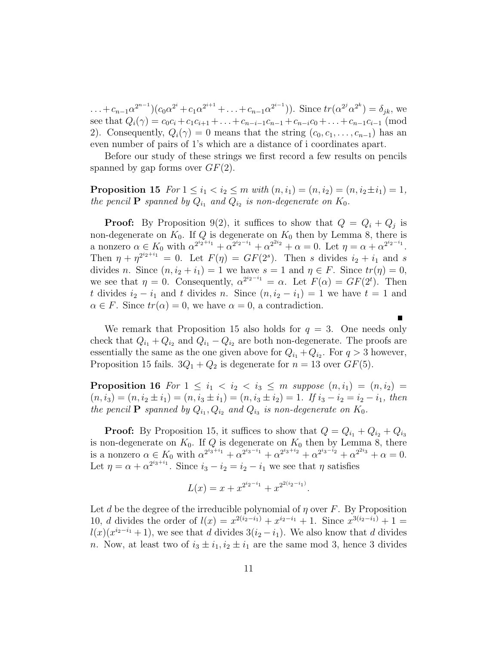$\dots + c_{n-1}\alpha^{2^{n-1}}(c_0\alpha^{2^i} + c_1\alpha^{2^{i+1}} + \dots + c_{n-1}\alpha^{2^{i-1}})).$  Since  $tr(\alpha^{2^j}\alpha^{2^k}) = \delta_{jk}$ , we see that  $Q_i(\gamma) = c_0 c_i + c_1 c_{i+1} + \ldots + c_{n-i-1} c_{n-1} + c_{n-i} c_0 + \ldots + c_{n-1} c_{i-1}$  (mod 2). Consequently,  $Q_i(\gamma) = 0$  means that the string  $(c_0, c_1, \ldots, c_{n-1})$  has an even number of pairs of 1's which are a distance of i coordinates apart.

Before our study of these strings we first record a few results on pencils spanned by gap forms over  $GF(2)$ .

**Proposition 15** For  $1 \leq i_1 < i_2 \leq m$  with  $(n, i_1) = (n, i_2) = (n, i_2 \pm i_1) = 1$ , the pencil **P** spanned by  $Q_{i_1}$  and  $Q_{i_2}$  is non-degenerate on  $K_0$ .

**Proof:** By Proposition 9(2), it suffices to show that  $Q = Q_i + Q_j$  is non-degenerate on  $K_0$ . If Q is degenerate on  $K_0$  then by Lemma 8, there is a nonzero  $\alpha \in K_0$  with  $\alpha^{2^{i_2+i_1}} + \alpha^{2^{i_2-i_1}} + \alpha^{2^{i_2}} + \alpha = 0$ . Let  $\eta = \alpha + \alpha^{2^{i_2-i_1}}$ . Then  $\eta + \eta^{2^{i_2+i_1}} = 0$ . Let  $F(\eta) = GF(2^s)$ . Then s divides  $i_2 + i_1$  and s divides n. Since  $(n, i_2 + i_1) = 1$  we have  $s = 1$  and  $\eta \in F$ . Since  $tr(\eta) = 0$ , we see that  $\eta = 0$ . Consequently,  $\alpha^{2^{i_2 - i_1}} = \alpha$ . Let  $F(\alpha) = GF(2^t)$ . Then t divides  $i_2 - i_1$  and t divides n. Since  $(n, i_2 - i_1) = 1$  we have  $t = 1$  and  $\alpha \in F$ . Since  $tr(\alpha) = 0$ , we have  $\alpha = 0$ , a contradiction.

We remark that Proposition 15 also holds for  $q = 3$ . One needs only check that  $Q_{i_1} + Q_{i_2}$  and  $Q_{i_1} - Q_{i_2}$  are both non-degenerate. The proofs are essentially the same as the one given above for  $Q_{i_1} + Q_{i_2}$ . For  $q > 3$  however, Proposition 15 fails.  $3Q_1 + Q_2$  is degenerate for  $n = 13$  over  $GF(5)$ .

 $\blacksquare$ 

**Proposition 16** For  $1 \leq i_1 < i_2 < i_3 \leq m$  suppose  $(n, i_1) = (n, i_2) =$  $(n, i_3) = (n, i_2 \pm i_1) = (n, i_3 \pm i_1) = (n, i_3 \pm i_2) = 1$ . If  $i_3 - i_2 = i_2 - i_1$ , then the pencil **P** spanned by  $Q_{i_1}, Q_{i_2}$  and  $Q_{i_3}$  is non-degenerate on  $K_0$ .

**Proof:** By Proposition 15, it suffices to show that  $Q = Q_{i_1} + Q_{i_2} + Q_{i_3}$ is non-degenerate on  $K_0$ . If Q is degenerate on  $K_0$  then by Lemma 8, there is a nonzero  $\alpha \in K_0$  with  $\alpha^{2^{i_3+i_1}} + \alpha^{2^{i_3-i_1}} + \alpha^{2^{i_3+i_2}} + \alpha^{2^{i_3-i_2}} + \alpha^{2^{i_3}} + \alpha = 0$ . Let  $\eta = \alpha + \alpha^{2^{i_3+i_1}}$ . Since  $i_3 - i_2 = i_2 - i_1$  we see that  $\eta$  satisfies

$$
L(x) = x + x^{2^{i_2 - i_1}} + x^{2^{2(i_2 - i_1)}}.
$$

Let d be the degree of the irreducible polynomial of  $\eta$  over F. By Proposition 10, *d* divides the order of  $l(x) = x^{2(i_2 - i_1)} + x^{i_2 - i_1} + 1$ . Since  $x^{3(i_2 - i_1)} + 1 =$  $l(x)(x^{i_2-i_1}+1)$ , we see that d divides  $3(i_2-i_1)$ . We also know that d divides n. Now, at least two of  $i_3 \pm i_1, i_2 \pm i_1$  are the same mod 3, hence 3 divides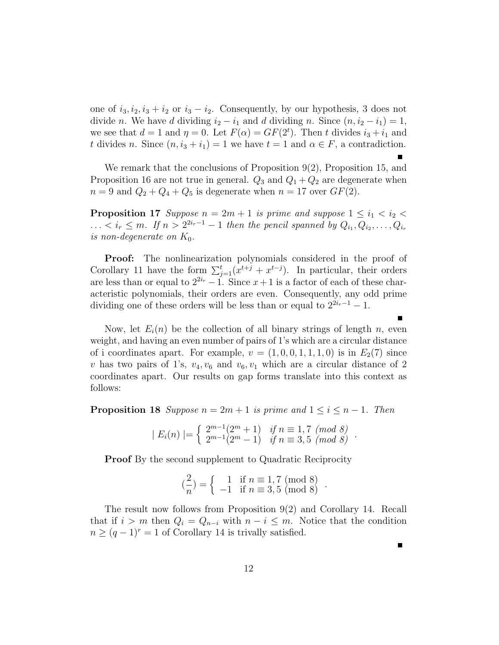one of  $i_3, i_2, i_3 + i_2$  or  $i_3 - i_2$ . Consequently, by our hypothesis, 3 does not divide n. We have d dividing  $i_2 - i_1$  and d dividing n. Since  $(n, i_2 - i_1) = 1$ , we see that  $d = 1$  and  $\eta = 0$ . Let  $F(\alpha) = GF(2^t)$ . Then t divides  $i_3 + i_1$  and t divides n. Since  $(n, i_3 + i_1) = 1$  we have  $t = 1$  and  $\alpha \in F$ , a contradiction.

We remark that the conclusions of Proposition 9(2), Proposition 15, and Proposition 16 are not true in general.  $Q_3$  and  $Q_1 + Q_2$  are degenerate when  $n = 9$  and  $Q_2 + Q_4 + Q_5$  is degenerate when  $n = 17$  over  $GF(2)$ .

**Proposition 17** Suppose  $n = 2m + 1$  is prime and suppose  $1 \leq i_1 < i_2$  $\ldots < i_r \leq m$ . If  $n > 2^{2i_r-1}-1$  then the pencil spanned by  $Q_{i_1}, Q_{i_2}, \ldots, Q_{i_r}$ is non-degenerate on  $K_0$ .

**Proof:** The nonlinearization polynomials considered in the proof of Corollary 11 have the form  $\sum_{j=1}^{t} (x^{t+j} + x^{t-j})$ . In particular, their orders are less than or equal to  $2^{2i_r}-1$ . Since  $x+1$  is a factor of each of these characteristic polynomials, their orders are even. Consequently, any odd prime dividing one of these orders will be less than or equal to  $2^{2i_r-1}-1$ .

Now, let  $E_i(n)$  be the collection of all binary strings of length n, even weight, and having an even number of pairs of 1's which are a circular distance of i coordinates apart. For example,  $v = (1, 0, 0, 1, 1, 1, 0)$  is in  $E_2(7)$  since v has two pairs of 1's,  $v_4, v_6$  and  $v_6, v_1$  which are a circular distance of 2 coordinates apart. Our results on gap forms translate into this context as follows:

**Proposition 18** Suppose  $n = 2m + 1$  is prime and  $1 \leq i \leq n - 1$ . Then

$$
| E_i(n) | = \begin{cases} 2^{m-1}(2^m + 1) & \text{if } n \equiv 1, 7 \pmod{8} \\ 2^{m-1}(2^m - 1) & \text{if } n \equiv 3, 5 \pmod{8} \end{cases}.
$$

**Proof** By the second supplement to Quadratic Reciprocity

$$
\binom{2}{n} = \left\{ \begin{array}{ll} 1 & \text{if } n \equiv 1,7 \pmod{8} \\ -1 & \text{if } n \equiv 3,5 \pmod{8} \end{array} \right..
$$

The result now follows from Proposition 9(2) and Corollary 14. Recall that if  $i > m$  then  $Q_i = Q_{n-i}$  with  $n-i \leq m$ . Notice that the condition  $n \geq (q-1)^r = 1$  of Corollary 14 is trivally satisfied.

 $\blacksquare$ 

г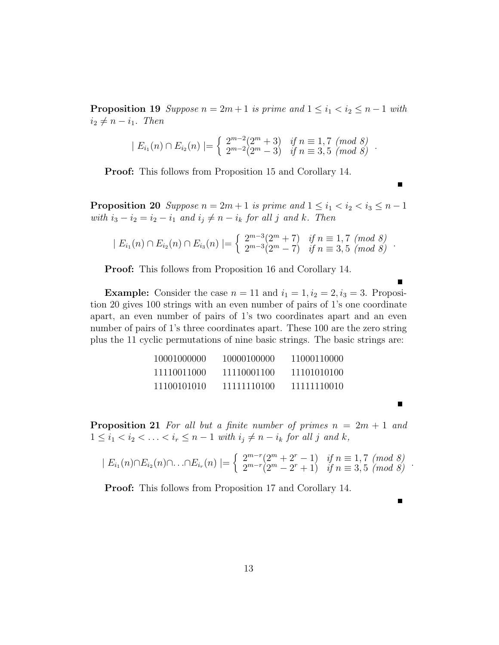**Proposition 19** Suppose  $n = 2m + 1$  is prime and  $1 \leq i_1 < i_2 \leq n - 1$  with  $i_2 \neq n - i_1$ . Then

$$
| E_{i_1}(n) \cap E_{i_2}(n) | = \begin{cases} 2^{m-2}(2^m+3) & \text{if } n \equiv 1,7 \pmod{8} \\ 2^{m-2}(2^m-3) & \text{if } n \equiv 3,5 \pmod{8} \end{cases}.
$$

Proof: This follows from Proposition 15 and Corollary 14.

**Proposition 20** Suppose  $n = 2m + 1$  is prime and  $1 \leq i_1 < i_2 < i_3 \leq n - 1$ with  $i_3 - i_2 = i_2 - i_1$  and  $i_j \neq n - i_k$  for all j and k. Then

$$
| E_{i_1}(n) \cap E_{i_2}(n) \cap E_{i_3}(n) | = \begin{cases} 2^{m-3}(2^m + 7) & \text{if } n \equiv 1, 7 \pmod{8} \\ 2^{m-3}(2^m - 7) & \text{if } n \equiv 3, 5 \pmod{8} \end{cases}.
$$

Proof: This follows from Proposition 16 and Corollary 14.

**Example:** Consider the case  $n = 11$  and  $i_1 = 1$ ,  $i_2 = 2$ ,  $i_3 = 3$ . Proposition 20 gives 100 strings with an even number of pairs of 1's one coordinate apart, an even number of pairs of 1's two coordinates apart and an even number of pairs of 1's three coordinates apart. These 100 are the zero string plus the 11 cyclic permutations of nine basic strings. The basic strings are:

| 10001000000 | 10000100000 | 11000110000 |
|-------------|-------------|-------------|
| 11110011000 | 11110001100 | 11101010100 |
| 11100101010 | 11111110100 | 11111110010 |

**Proposition 21** For all but a finite number of primes  $n = 2m + 1$  and  $1 \leq i_1 < i_2 < \ldots < i_r \leq n-1$  with  $i_j \neq n-i_k$  for all j and k,

$$
| E_{i_1}(n) \cap E_{i_2}(n) \cap ... \cap E_{i_r}(n) | = \begin{cases} 2^{m-r}(2^m + 2^r - 1) & \text{if } n \equiv 1,7 \pmod{8} \\ 2^{m-r}(2^m - 2^r + 1) & \text{if } n \equiv 3,5 \pmod{8} \end{cases}.
$$

 $\blacksquare$ 

Proof: This follows from Proposition 17 and Corollary 14.

13